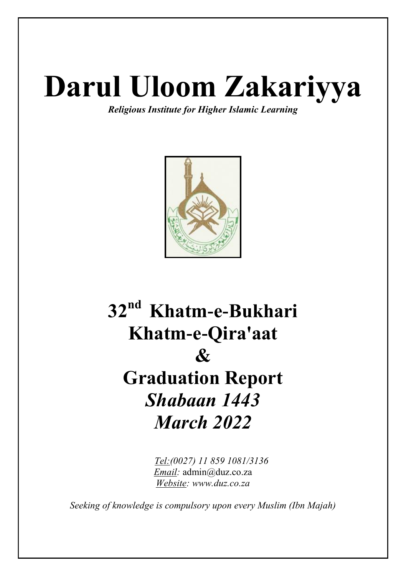# **Darul Uloom Zakariyya**

*Religious Institute for Higher Islamic Learning*



# **32nd Khatm-e-Bukhari Khatm-e-Qira'aat & Graduation Report** *Shabaan 1443 March 2022*

 *Tel:(0027) 11 859 1081/3136 Email:* admin@duz.co.za *Website: www.duz.co.za*

*Seeking of knowledge is compulsory upon every Muslim (Ibn Majah)*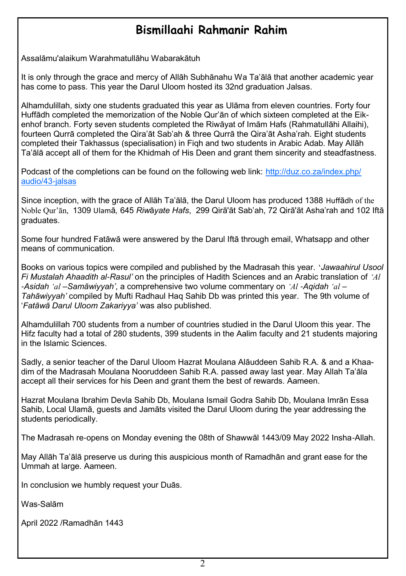#### **Bismillaahi Rahmanir Rahim**

Assalāmu'alaikum Warahmatullāhu Wabarakātuh

It is only through the grace and mercy of Allāh Subhānahu Wa Ta'ālā that another academic year has come to pass. This year the Darul Uloom hosted its 32nd graduation Jalsas.

Alhamdulillah, sixty one students graduated this year as Ulāma from eleven countries. Forty four Huffādh completed the memorization of the Noble Qur'ān of which sixteen completed at the Eikenhof branch. Forty seven students completed the Riwāyat of Imām Hafs (Rahmatullāhi Allaihi), fourteen Qurrā completed the Qira'āt Sab'ah & three Qurrā the Qira'āt Asha'rah. Eight students completed their Takhassus (specialisation) in Fiqh and two students in Arabic Adab. May Allāh Ta'ālā accept all of them for the Khidmah of His Deen and grant them sincerity and steadfastness.

Podcast of the completions can be found on the following web link: [http://duz.co.za/index.php/](mailto:http://duz.co.za/index.php/audio/43-jalsas) audio/43-ialsas

Since inception, with the grace of Allāh Ta'ālā, the Darul Uloom has produced 1388 Huffādh of the Noble Qur'ān, 1309 Ulamā*,* 645 *Riw*ā*yate Hafs*, 299 Qirā'āt Sab'ah, 72 Qirā'āt Asha'rah and 102 Iftā graduates.

Some four hundred Fatāwā were answered by the Darul Iftā through email, Whatsapp and other means of communication.

Books on various topics were compiled and published by the Madrasah this year. '*Jawaahirul Usool Fi Mustalah Ahaadith al-Rasul'* on the principles of Hadith Sciences and an Arabic translation of *'Al -Asidah 'al –Samāwiyyah'*, a comprehensive two volume commentary on *'Al -Aqidah 'al – Tahāwiyyah'* compiled by Mufti Radhaul Haq Sahib Db was printed this year. The 9th volume of '*Fatāwā Darul Uloom Zakariyya'* was also published.

Alhamdulillah 700 students from a number of countries studied in the Darul Uloom this year. The Hifz faculty had a total of 280 students, 399 students in the Aalim faculty and 21 students majoring in the Islamic Sciences.

Sadly, a senior teacher of the Darul Uloom Hazrat Moulana Alāuddeen Sahib R.A. & and a Khaadim of the Madrasah Moulana Nooruddeen Sahib R.A. passed away last year. May Allah Ta'āla accept all their services for his Deen and grant them the best of rewards. Aameen.

Hazrat Moulana Ibrahim Devla Sahib Db, Moulana Ismail Godra Sahib Db, Moulana Imrān Essa Sahib, Local Ulamā, guests and Jamāts visited the Darul Uloom during the year addressing the students periodically.

The Madrasah re-opens on Monday evening the 08th of Shawwāl 1443/09 May 2022 Insha-Allah.

May Allāh Ta'ālā preserve us during this auspicious month of Ramadhān and grant ease for the Ummah at large. Aameen.

In conclusion we humbly request your Duās.

Was-Salām

April 2022 /Ramadhān 1443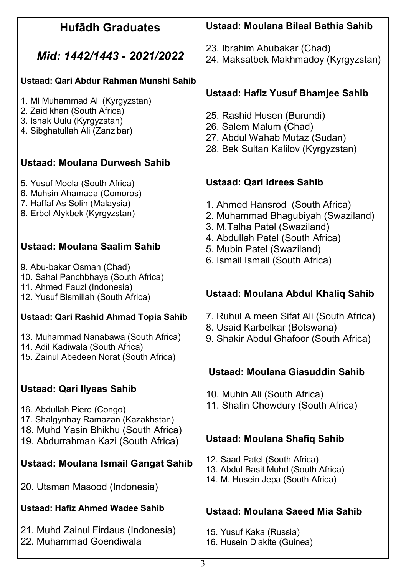#### **Hufādh Graduates**

### *Mid: 1442/1443 - 2021/2022*

#### **Ustaad: Qari Abdur Rahman Munshi Sahib**

- 1. Ml Muhammad Ali (Kyrgyzstan)
- 2. Zaid khan (South Africa)
- 3. Ishak Uulu (Kyrgyzstan)
- 4. Sibghatullah Ali (Zanzibar)

#### **Ustaad: Moulana Durwesh Sahib**

- 5. Yusuf Moola (South Africa)
- 6. Muhsin Ahamada (Comoros)
- 7. Haffaf As Solih (Malaysia)
- 8. Erbol Alykbek (Kyrgyzstan)

#### **Ustaad: Moulana Saalim Sahib**

- 9. Abu-bakar Osman (Chad)
- 10. Sahal Panchbhaya (South Africa)
- 11. Ahmed Fauzl (Indonesia)
- 12. Yusuf Bismillah (South Africa)

#### **Ustaad: Qari Rashid Ahmad Topia Sahib**

- 13. Muhammad Nanabawa (South Africa)
- 14. Adil Kadiwala (South Africa)
- 15. Zainul Abedeen Norat (South Africa)

### **Ustaad: Qari Ilyaas Sahib**

- 16. Abdullah Piere (Congo)
- 17. Shalgynbay Ramazan (Kazakhstan)
- 18. Muhd Yasin Bhikhu (South Africa)
- 19. Abdurrahman Kazi (South Africa)

# **Ustaad: Moulana Ismail Gangat Sahib**

20. Utsman Masood (Indonesia)

# **Ustaad: Hafiz Ahmed Wadee Sahib**

21. Muhd Zainul Firdaus (Indonesia) 22. Muhammad Goendiwala

# **Ustaad: Moulana Bilaal Bathia Sahib**

- 23. Ibrahim Abubakar (Chad)
- 24. Maksatbek Makhmadoy (Kyrgyzstan)

#### **Ustaad: Hafiz Yusuf Bhamjee Sahib**

- 25. Rashid Husen (Burundi)
- 26. Salem Malum (Chad)
- 27. Abdul Wahab Mutaz (Sudan)
- 28. Bek Sultan Kalilov (Kyrgyzstan)

#### **Ustaad: Qari Idrees Sahib**

- 1. Ahmed Hansrod (South Africa)
- 2. Muhammad Bhagubiyah (Swaziland)
- 3. M.Talha Patel (Swaziland)
- 4. Abdullah Patel (South Africa)
- 5. Mubin Patel (Swaziland)
- 6. Ismail Ismail (South Africa)

#### **Ustaad: Moulana Abdul Khaliq Sahib**

- 7. Ruhul A meen Sifat Ali (South Africa)
- 8. Usaid Karbelkar (Botswana)
- 9. Shakir Abdul Ghafoor (South Africa)

#### **Ustaad: Moulana Giasuddin Sahib**

- 10. Muhin Ali (South Africa)
- 11. Shafin Chowdury (South Africa)

### **Ustaad: Moulana Shafiq Sahib**

- 12. Saad Patel (South Africa)
- 13. Abdul Basit Muhd (South Africa)
- 14. M. Husein Jepa (South Africa)

# **Ustaad: Moulana Saeed Mia Sahib**

- 15. Yusuf Kaka (Russia)
- 16. Husein Diakite (Guinea)